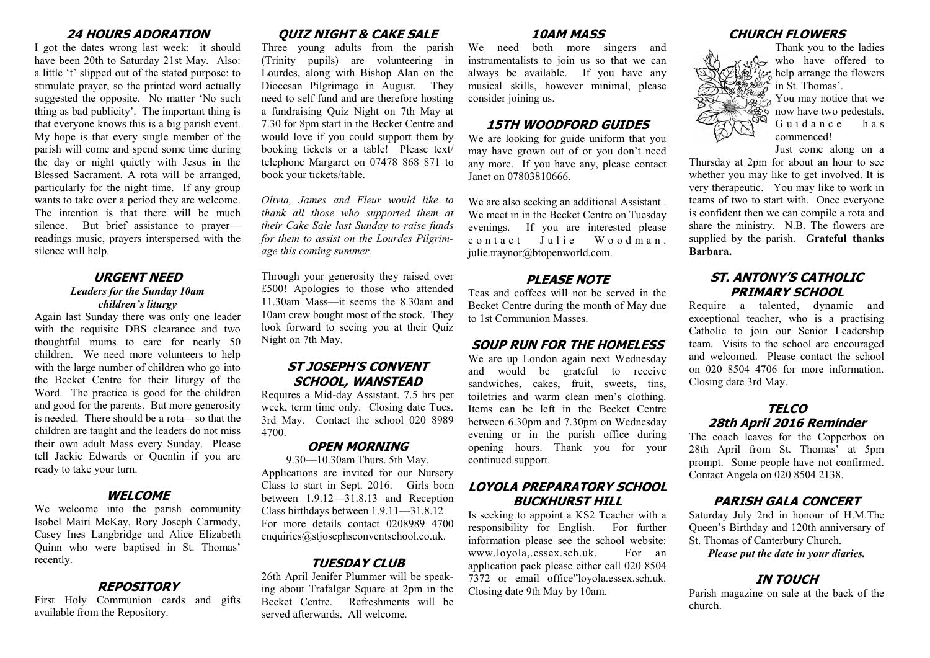#### **24 HOURS ADORATION**

I got the dates wrong last week: it should have been 20th to Saturday 21st May. Also: a little 't' slipped out of the stated purpose: to stimulate prayer, so the printed word actually suggested the opposite. No matter 'No such thing as bad publicity'. The important thing is that everyone knows this is a big parish event. My hope is that every single member of the parish will come and spend some time during the day or night quietly with Jesus in the Blessed Sacrament. A rota will be arranged, particularly for the night time. If any group wants to take over a period they are welcome. The intention is that there will be much silence. But brief assistance to prayer readings music, prayers interspersed with the silence will help.

#### **URGENT NEED** *Leaders for the Sunday 10am children's liturgy*

Again last Sunday there was only one leader with the requisite DBS clearance and two thoughtful mums to care for nearly 50 children. We need more volunteers to help with the large number of children who go into the Becket Centre for their liturgy of the Word. The practice is good for the children and good for the parents. But more generosity is needed. There should be a rota—so that the children are taught and the leaders do not miss their own adult Mass every Sunday. Please tell Jackie Edwards or Quentin if you are ready to take your turn.

### **WELCOME**

We welcome into the parish community Isobel Mairi McKay, Rory Joseph Carmody, Casey Ines Langbridge and Alice Elizabeth Quinn who were baptised in St. Thomas' recently.

#### **REPOSITORY**

First Holy Communion cards and gifts available from the Repository.

# **QUIZ NIGHT & CAKE SALE**

Three young adults from the parish (Trinity pupils) are volunteering in Lourdes, along with Bishop Alan on the Diocesan Pilgrimage in August. They need to self fund and are therefore hosting a fundraising Quiz Night on 7th May at 7.30 for 8pm start in the Becket Centre and would love if you could support them by booking tickets or a table! Please text/ telephone Margaret on 07478 868 871 to book your tickets/table.

*Olivia, James and Fleur would like to thank all those who supported them at their Cake Sale last Sunday to raise funds for them to assist on the Lourdes Pilgrimage this coming summer.* 

Through your generosity they raised over £500! Apologies to those who attended 11.30am Mass—it seems the 8.30am and 10am crew bought most of the stock. They look forward to seeing you at their Quiz Night on 7th May.

# **ST JOSEPH'S CONVENT SCHOOL, WANSTEAD**

Requires a Mid-day Assistant. 7.5 hrs per week, term time only. Closing date Tues. 3rd May. Contact the school 020 8989 4700.

## **OPEN MORNING**

9.30—10.30am Thurs. 5th May. Applications are invited for our Nursery Class to start in Sept. 2016. Girls born between 1.9.12—31.8.13 and Reception Class birthdays between 1.9.11—31.8.12 For more details contact 0208989 4700 enquiries@stjosephsconventschool.co.uk.

### **TUESDAY CLUB**

26th April Jenifer Plummer will be speaking about Trafalgar Square at 2pm in the Becket Centre. Refreshments will be served afterwards. All welcome.

### **10AM MASS**

We need both more singers and instrumentalists to join us so that we can always be available. If you have any musical skills, however minimal, please consider joining us.

## **15TH WOODFORD GUIDES**

We are looking for guide uniform that you may have grown out of or you don't need any more. If you have any, please contact Janet on 07803810666.

We are also seeking an additional Assistant . We meet in in the Becket Centre on Tuesday evenings. If you are interested please contact Julie Woodman. julie.traynor@btopenworld.com.

#### **PLEASE NOTE**

Teas and coffees will not be served in the Becket Centre during the month of May due to 1st Communion Masses.

### **SOUP RUN FOR THE HOMELESS**

We are up London again next Wednesday and would be grateful to receive sandwiches, cakes, fruit, sweets, tins, toiletries and warm clean men's clothing. Items can be left in the Becket Centre between 6.30pm and 7.30pm on Wednesday evening or in the parish office during opening hours. Thank you for your continued support.

# **LOYOLA PREPARATORY SCHOOL BUCKHURST HILL**

Is seeking to appoint a KS2 Teacher with a responsibility for English. For further information please see the school website: www.loyola,.essex.sch.uk. For an application pack please either call 020 8504 7372 or email office"loyola.essex.sch.uk. Closing date 9th May by 10am.

# **CHURCH FLOWERS**



Thank you to the ladies who have offered to  $\mathcal{F}_n$  help arrange the flowers in St. Thomas'.

 $\mathbb{Z}^{\mathcal{Y}}$  You may notice that we  $\frac{1}{100}$  now have two pedestals. Guidance has commenced!

Just come along on a Thursday at 2pm for about an hour to see whether you may like to get involved. It is very therapeutic. You may like to work in teams of two to start with. Once everyone is confident then we can compile a rota and share the ministry. N.B. The flowers are supplied by the parish. **Grateful thanks Barbara.**

## **ST. ANTONY'S CATHOLIC PRIMARY SCHOOL**

Require a talented, dynamic and exceptional teacher, who is a practising Catholic to join our Senior Leadership team. Visits to the school are encouraged and welcomed. Please contact the school on 020 8504 4706 for more information. Closing date 3rd May.

## **TELCO 28th April 2016 Reminder**

The coach leaves for the Copperbox on 28th April from St. Thomas' at 5pm prompt. Some people have not confirmed. Contact Angela on 020 8504 2138.

### **PARISH GALA CONCERT**

Saturday July 2nd in honour of H.M.The Queen's Birthday and 120th anniversary of St. Thomas of Canterbury Church.

*Please put the date in your diaries.*

## **IN TOUCH**

Parish magazine on sale at the back of the church.